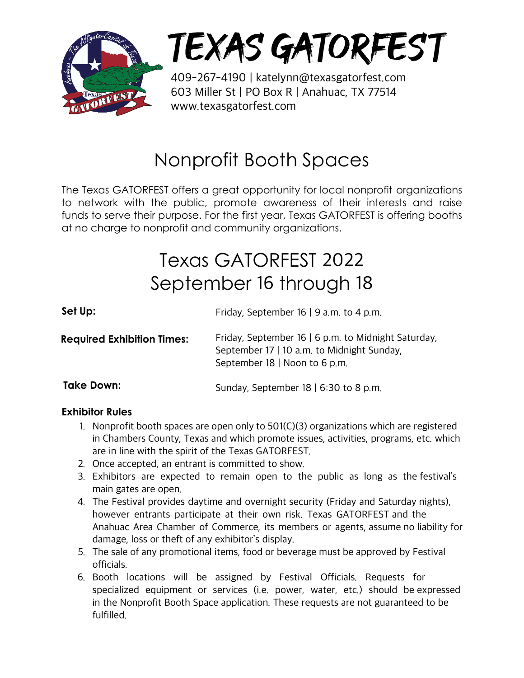

## TEXAS GATORFEST

409-267-4190 | katelynn@texasgatorfest.com 603 Miller St | PO Box R | Anahuac, TX 77514 www.texasgatorfest.com

### Nonprofit Booth Spaces

The Texas GATORFEST offers a great opportunity for local nonprofit organizations to network with the public, promote awareness of their interests and raise funds to serve their purpose. For the first year, Texas GATORFEST is offering booths at no charge to nonprofit and community organizations.

## Texas GATORFEST 2022 September 16 through 18

| Set Up:                           | Friday, September 16   9 a.m. to 4 p.m.                                                                                            |
|-----------------------------------|------------------------------------------------------------------------------------------------------------------------------------|
| <b>Required Exhibition Times:</b> | Friday, September 16   6 p.m. to Midnight Saturday,<br>September 17   10 a.m. to Midnight Sunday,<br>September 18   Noon to 6 p.m. |
| Take Down:                        | Sunday, September 18   6:30 to 8 p.m.                                                                                              |

#### **Exhibitor Rules**

- 1. Nonprofit booth spaces are open only to  $501(C)(3)$  organizations which are registered in Chambers County, Texas and which promote issues, activities, programs, etc. which are in line with the spirit of the Texas GATORFEST.
- 2. Once accepted, an entrant is committed to show.
- 3. Exhibitors are expected to remain open to the public as long as the festival's main gates are open.
- 4. The Festival provides daytime and overnight security (Friday and Saturday nights), however entrants participate at their own risk. Texas GATORFEST and the Anahuac Area Chamber of Commerce, its members or agents, assume no liability for damage, loss or theft of any exhibitor's display.
- 5. The sale of any promotional items, food or beverage must be approved by Festival officials.
- 6. Booth locations will be assigned by Festival Officials. Requests for specialized equipment or services (i.e. power, water, etc.) should be expressed in the Nonprofit Booth Space application. These requests are not guaranteed to be fulfilled.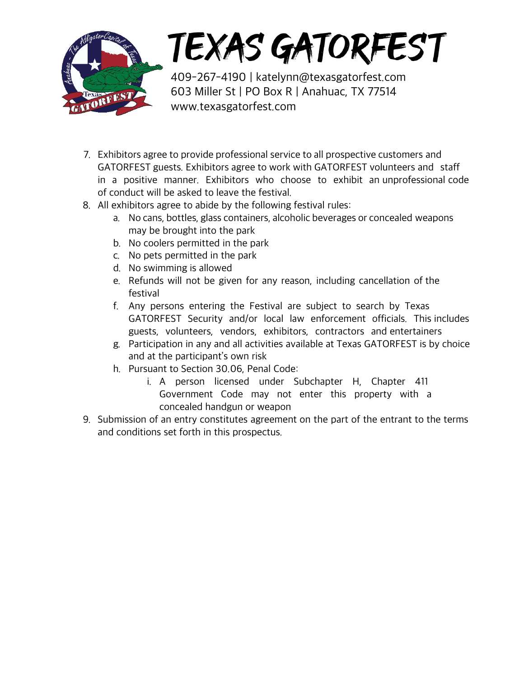

# TEXAS GATORFEST

409-267-4190 | katelynn@texasgatorfest.com 603 Miller St | PO Box R | Anahuac, TX 77514 www.texasgatorfest.com

- 7. Exhibitors agree to provide professional service to all prospective customers and GATORFEST guests. Exhibitors agree to work with GATORFEST volunteers and staff in a positive manner. Exhibitors who choose to exhibit an unprofessional code of conduct will be asked to leave the festival.
- 8. All exhibitors agree to abide by the following festival rules:
	- a. No cans, bottles, glass containers, alcoholic beverages or concealed weapons may be brought into the park
	- b. No coolers permitted in the park
	- c. No pets permitted in the park
	- d. No swimming is allowed
	- e. Refunds will not be given for any reason, including cancellation of the festival
	- f. Any persons entering the Festival are subject to search by Texas GATORFEST Security and/or local law enforcement officials. This includes guests, volunteers, vendors, exhibitors, contractors and entertainers
	- g. Participation in any and all activities available at Texas GATORFEST is by choice and at the participant's own risk
	- h. Pursuant to Section 30.06, Penal Code:
		- i. A person licensed under Subchapter H, Chapter 411 Government Code may not enter this property with a concealed handgun or weapon
- 9. Submission of an entry constitutes agreement on the part of the entrant to the terms and conditions set forth in this prospectus.